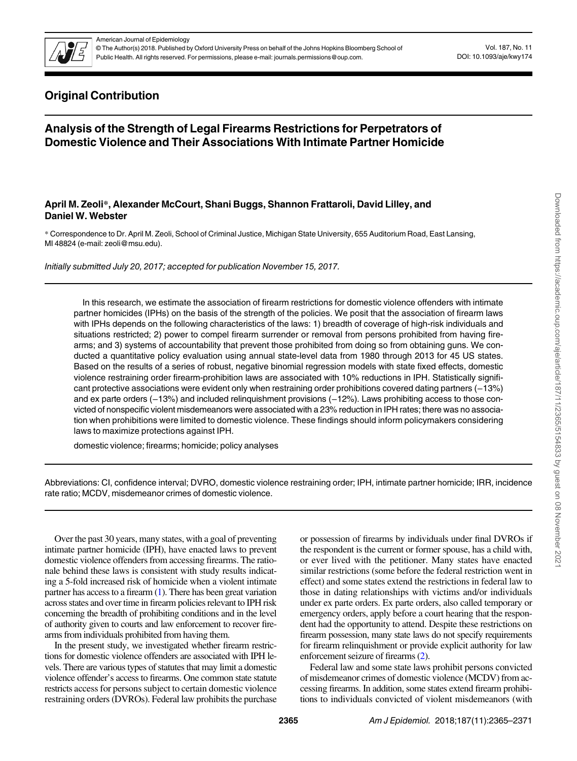

American Journal of Epidemiology © The Author(s) 2018. Published by Oxford University Press on behalf of the Johns Hopkins Bloomberg School of Public Health. All rights reserved. For permissions, please e-mail: journals.permissions@oup.com.

Vol. 187, No. 11 DOI: 10.1093/aje/kwy174

# Original Contribution

# Analysis of the Strength of Legal Firearms Restrictions for Perpetrators of Domestic Violence and Their Associations With Intimate Partner Homicide

## April M. Zeoli\*, Alexander McCourt, Shani Buggs, Shannon Frattaroli, David Lilley, and Daniel W. Webster

\* Correspondence to Dr. April M. Zeoli, School of Criminal Justice, Michigan State University, 655 Auditorium Road, East Lansing, MI 48824 (e-mail: zeoli@msu.edu).

Initially submitted July 20, 2017; accepted for publication November 15, 2017.

In this research, we estimate the association of firearm restrictions for domestic violence offenders with intimate partner homicides (IPHs) on the basis of the strength of the policies. We posit that the association of firearm laws with IPHs depends on the following characteristics of the laws: 1) breadth of coverage of high-risk individuals and situations restricted; 2) power to compel firearm surrender or removal from persons prohibited from having firearms; and 3) systems of accountability that prevent those prohibited from doing so from obtaining guns. We conducted a quantitative policy evaluation using annual state-level data from 1980 through 2013 for 45 US states. Based on the results of a series of robust, negative binomial regression models with state fixed effects, domestic violence restraining order firearm-prohibition laws are associated with 10% reductions in IPH. Statistically significant protective associations were evident only when restraining order prohibitions covered dating partners (−13%) and ex parte orders (−13%) and included relinquishment provisions (−12%). Laws prohibiting access to those convicted of nonspecific violent misdemeanors were associated with a 23% reduction in IPH rates; there was no association when prohibitions were limited to domestic violence. These findings should inform policymakers considering laws to maximize protections against IPH.

domestic violence; firearms; homicide; policy analyses

Abbreviations: CI, confidence interval; DVRO, domestic violence restraining order; IPH, intimate partner homicide; IRR, incidence rate ratio; MCDV, misdemeanor crimes of domestic violence.

Over the past 30 years, many states, with a goal of preventing intimate partner homicide (IPH), have enacted laws to prevent domestic violence offenders from accessing firearms. The rationale behind these laws is consistent with study results indicating a 5-fold increased risk of homicide when a violent intimate partner has access to a firearm [\(1\)](#page-5-0). There has been great variation across states and over time in firearm policies relevant to IPH risk concerning the breadth of prohibiting conditions and in the level of authority given to courts and law enforcement to recover firearms from individuals prohibited from having them.

In the present study, we investigated whether firearm restrictions for domestic violence offenders are associated with IPH levels. There are various types of statutes that may limit a domestic violence offender's access to firearms. One common state statute restricts access for persons subject to certain domestic violence restraining orders (DVROs). Federal law prohibits the purchase or possession of firearms by individuals under final DVROs if the respondent is the current or former spouse, has a child with, or ever lived with the petitioner. Many states have enacted similar restrictions (some before the federal restriction went in effect) and some states extend the restrictions in federal law to those in dating relationships with victims and/or individuals under ex parte orders. Ex parte orders, also called temporary or emergency orders, apply before a court hearing that the respondent had the opportunity to attend. Despite these restrictions on firearm possession, many state laws do not specify requirements for firearm relinquishment or provide explicit authority for law enforcement seizure of firearms ([2](#page-5-0)).

Federal law and some state laws prohibit persons convicted of misdemeanor crimes of domestic violence (MCDV) from accessing firearms. In addition, some states extend firearm prohibitions to individuals convicted of violent misdemeanors (with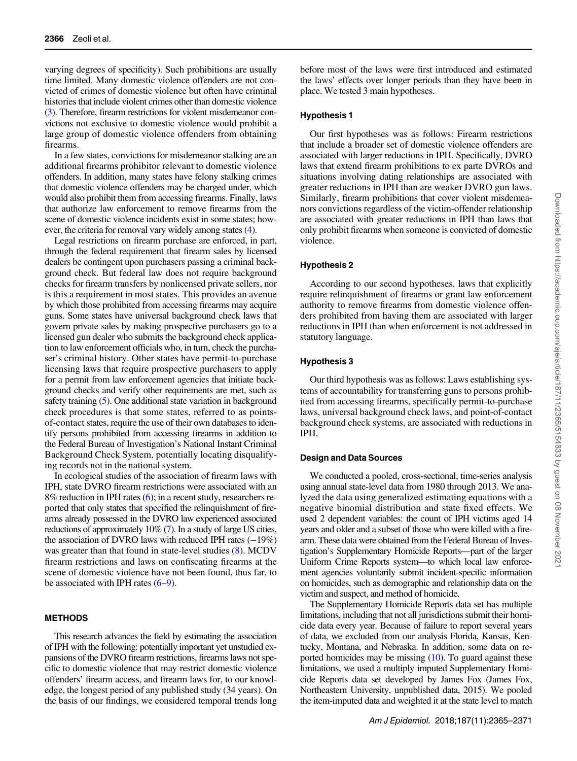varying degrees of specificity). Such prohibitions are usually time limited. Many domestic violence offenders are not convicted of crimes of domestic violence but often have criminal histories that include violent crimes other than domestic violence [\(3\)](#page-5-0). Therefore, firearm restrictions for violent misdemeanor convictions not exclusive to domestic violence would prohibit a large group of domestic violence offenders from obtaining firearms.

In a few states, convictions for misdemeanor stalking are an additional firearms prohibitor relevant to domestic violence offenders. In addition, many states have felony stalking crimes that domestic violence offenders may be charged under, which would also prohibit them from accessing firearms. Finally, laws that authorize law enforcement to remove firearms from the scene of domestic violence incidents exist in some states; however, the criteria for removal vary widely among states [\(4](#page-5-0)).

Legal restrictions on firearm purchase are enforced, in part, through the federal requirement that firearm sales by licensed dealers be contingent upon purchasers passing a criminal background check. But federal law does not require background checks for firearm transfers by nonlicensed private sellers, nor is this a requirement in most states. This provides an avenue by which those prohibited from accessing firearms may acquire guns. Some states have universal background check laws that govern private sales by making prospective purchasers go to a licensed gun dealer who submits the background check application to law enforcement officials who, in turn, check the purchaser's criminal history. Other states have permit-to-purchase licensing laws that require prospective purchasers to apply for a permit from law enforcement agencies that initiate background checks and verify other requirements are met, such as safety training  $(5)$ . One additional state variation in background check procedures is that some states, referred to as pointsof-contact states, require the use of their own databases to identify persons prohibited from accessing firearms in addition to the Federal Bureau of Investigation's National Instant Criminal Background Check System, potentially locating disqualifying records not in the national system.

In ecological studies of the association of firearm laws with IPH, state DVRO firearm restrictions were associated with an 8% reduction in IPH rates ([6\)](#page-5-0); in a recent study, researchers reported that only states that specified the relinquishment of firearms already possessed in the DVRO law experienced associated reductions of approximately 10% [\(7\)](#page-5-0). In a study of large US cities, the association of DVRO laws with reduced IPH rates (−19%) was greater than that found in state-level studies ([8\)](#page-5-0). MCDV firearm restrictions and laws on confiscating firearms at the scene of domestic violence have not been found, thus far, to be associated with IPH rates  $(6-9)$  $(6-9)$  $(6-9)$  $(6-9)$ .

#### METHODS

This research advances the field by estimating the association of IPH with the following: potentially important yet unstudied expansions of the DVRO firearm restrictions, firearms laws not specific to domestic violence that may restrict domestic violence offenders' firearm access, and firearm laws for, to our knowledge, the longest period of any published study (34 years). On the basis of our findings, we considered temporal trends long

before most of the laws were first introduced and estimated the laws' effects over longer periods than they have been in place. We tested 3 main hypotheses.

#### Hypothesis 1

Our first hypotheses was as follows: Firearm restrictions that include a broader set of domestic violence offenders are associated with larger reductions in IPH. Specifically, DVRO laws that extend firearm prohibitions to ex parte DVROs and situations involving dating relationships are associated with greater reductions in IPH than are weaker DVRO gun laws. Similarly, firearm prohibitions that cover violent misdemeanors convictions regardless of the victim-offender relationship are associated with greater reductions in IPH than laws that only prohibit firearms when someone is convicted of domestic violence.

#### Hypothesis 2

According to our second hypotheses, laws that explicitly require relinquishment of firearms or grant law enforcement authority to remove firearms from domestic violence offenders prohibited from having them are associated with larger reductions in IPH than when enforcement is not addressed in statutory language.

#### Hypothesis 3

Our third hypothesis was as follows: Laws establishing systems of accountability for transferring guns to persons prohibited from accessing firearms, specifically permit-to-purchase laws, universal background check laws, and point-of-contact background check systems, are associated with reductions in IPH.

#### Design and Data Sources

We conducted a pooled, cross-sectional, time-series analysis using annual state-level data from 1980 through 2013. We analyzed the data using generalized estimating equations with a negative binomial distribution and state fixed effects. We used 2 dependent variables: the count of IPH victims aged 14 years and older and a subset of those who were killed with a firearm. These data were obtained from the Federal Bureau of Investigation's Supplementary Homicide Reports—part of the larger Uniform Crime Reports system—to which local law enforcement agencies voluntarily submit incident-specific information on homicides, such as demographic and relationship data on the victim and suspect, and method of homicide.

The Supplementary Homicide Reports data set has multiple limitations, including that not all jurisdictions submit their homicide data every year. Because of failure to report several years of data, we excluded from our analysis Florida, Kansas, Kentucky, Montana, and Nebraska. In addition, some data on reported homicides may be missing ([10](#page-5-0)). To guard against these limitations, we used a multiply imputed Supplementary Homicide Reports data set developed by James Fox (James Fox, Northeastern University, unpublished data, 2015). We pooled the item-imputed data and weighted it at the state level to match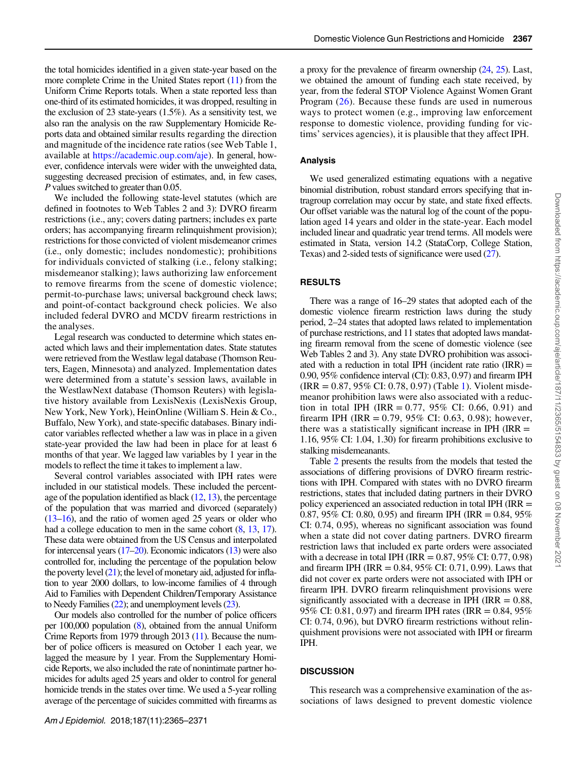the total homicides identified in a given state-year based on the more complete Crime in the United States report  $(11)$  from the Uniform Crime Reports totals. When a state reported less than one-third of its estimated homicides, it was dropped, resulting in the exclusion of 23 state-years (1.5%). As a sensitivity test, we also ran the analysis on the raw Supplementary Homicide Reports data and obtained similar results regarding the direction and magnitude of the incidence rate ratios (see Web Table 1, available at <https://academic.oup.com/aje>). In general, however, confidence intervals were wider with the unweighted data, suggesting decreased precision of estimates, and, in few cases, P values switched to greater than 0.05.

We included the following state-level statutes (which are defined in footnotes to Web Tables 2 and 3): DVRO firearm restrictions (i.e., any; covers dating partners; includes ex parte orders; has accompanying firearm relinquishment provision); restrictions for those convicted of violent misdemeanor crimes (i.e., only domestic; includes nondomestic); prohibitions for individuals convicted of stalking (i.e., felony stalking; misdemeanor stalking); laws authorizing law enforcement to remove firearms from the scene of domestic violence; permit-to-purchase laws; universal background check laws; and point-of-contact background check policies. We also included federal DVRO and MCDV firearm restrictions in the analyses.

Legal research was conducted to determine which states enacted which laws and their implementation dates. State statutes were retrieved from the Westlaw legal database (Thomson Reuters, Eagen, Minnesota) and analyzed. Implementation dates were determined from a statute's session laws, available in the WestlawNext database (Thomson Reuters) with legislative history available from LexisNexis (LexisNexis Group, New York, New York), HeinOnline (William S. Hein & Co., Buffalo, New York), and state-specific databases. Binary indicator variables reflected whether a law was in place in a given state-year provided the law had been in place for at least 6 months of that year. We lagged law variables by 1 year in the models to reflect the time it takes to implement a law.

Several control variables associated with IPH rates were included in our statistical models. These included the percentage of the population identified as black  $(12, 13)$  $(12, 13)$  $(12, 13)$  $(12, 13)$  $(12, 13)$ , the percentage of the population that was married and divorced (separately) [\(13](#page-5-0)–[16](#page-5-0)), and the ratio of women aged 25 years or older who had a college education to men in the same cohort  $(8, 13, 17)$  $(8, 13, 17)$  $(8, 13, 17)$  $(8, 13, 17)$  $(8, 13, 17)$  $(8, 13, 17)$ . These data were obtained from the US Census and interpolated for intercensal years [\(17](#page-5-0)–[20\)](#page-5-0). Economic indicators ([13\)](#page-5-0) were also controlled for, including the percentage of the population below the poverty level  $(21)$  $(21)$ ; the level of monetary aid, adjusted for inflation to year 2000 dollars, to low-income families of 4 through Aid to Families with Dependent Children/Temporary Assistance to Needy Families [\(22\)](#page-5-0); and unemployment levels [\(23](#page-5-0)).

Our models also controlled for the number of police officers per 100,000 population ([8](#page-5-0)), obtained from the annual Uniform Crime Reports from 1979 through 2013 ([11](#page-5-0)). Because the number of police officers is measured on October 1 each year, we lagged the measure by 1 year. From the Supplementary Homicide Reports, we also included the rate of nonintimate partner homicides for adults aged 25 years and older to control for general homicide trends in the states over time. We used a 5-year rolling average of the percentage of suicides committed with firearms as a proxy for the prevalence of firearm ownership [\(24](#page-5-0), [25\)](#page-5-0). Last, we obtained the amount of funding each state received, by year, from the federal STOP Violence Against Women Grant Program ([26\)](#page-6-0). Because these funds are used in numerous ways to protect women (e.g., improving law enforcement response to domestic violence, providing funding for victims' services agencies), it is plausible that they affect IPH.

#### Analysis

We used generalized estimating equations with a negative binomial distribution, robust standard errors specifying that intragroup correlation may occur by state, and state fixed effects. Our offset variable was the natural log of the count of the population aged 14 years and older in the state-year. Each model included linear and quadratic year trend terms. All models were estimated in Stata, version 14.2 (StataCorp, College Station, Texas) and 2-sided tests of significance were used ([27](#page-6-0)).

### RESULTS

There was a range of 16–29 states that adopted each of the domestic violence firearm restriction laws during the study period, 2–24 states that adopted laws related to implementation of purchase restrictions, and 11 states that adopted laws mandating firearm removal from the scene of domestic violence (see Web Tables 2 and 3). Any state DVRO prohibition was associated with a reduction in total IPH (incident rate ratio  $\text{IRR}$ ) = 0.90, 95% confidence interval (CI): 0.83, 0.97) and firearm IPH (IRR = 0.87, 95% CI: 0.78, 0.97) (Table [1\)](#page-3-0). Violent misdemeanor prohibition laws were also associated with a reduction in total IPH (IRR =  $0.77, 95\%$  CI: 0.66, 0.91) and firearm IPH (IRR =  $0.79$ ,  $95\%$  CI: 0.63, 0.98); however, there was a statistically significant increase in IPH  $(IRR =$ 1.16, 95% CI: 1.04, 1.30) for firearm prohibitions exclusive to stalking misdemeanants.

Table [2](#page-3-0) presents the results from the models that tested the associations of differing provisions of DVRO firearm restrictions with IPH. Compared with states with no DVRO firearm restrictions, states that included dating partners in their DVRO policy experienced an associated reduction in total IPH (IRR = 0.87, 95% CI: 0.80, 0.95) and firearm IPH (IRR = 0.84, 95%) CI: 0.74, 0.95), whereas no significant association was found when a state did not cover dating partners. DVRO firearm restriction laws that included ex parte orders were associated with a decrease in total IPH (IRR =  $0.87,95\%$  CI:  $0.77,0.98$ ) and firearm IPH (IRR =  $0.84$ ,  $95\%$  CI:  $0.71$ ,  $0.99$ ). Laws that did not cover ex parte orders were not associated with IPH or firearm IPH. DVRO firearm relinquishment provisions were significantly associated with a decrease in IPH (IRR  $= 0.88$ , 95% CI: 0.81, 0.97) and firearm IPH rates (IRR = 0.84, 95%) CI: 0.74, 0.96), but DVRO firearm restrictions without relinquishment provisions were not associated with IPH or firearm IPH.

#### **DISCUSSION**

This research was a comprehensive examination of the associations of laws designed to prevent domestic violence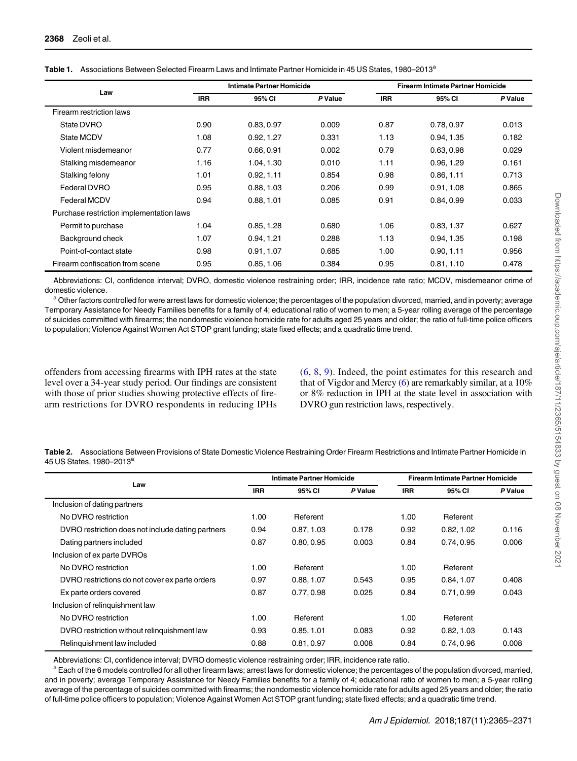| Law                                      |            | <b>Intimate Partner Homicide</b> |         |            | <b>Firearm Intimate Partner Homicide</b> |         |  |  |
|------------------------------------------|------------|----------------------------------|---------|------------|------------------------------------------|---------|--|--|
|                                          | <b>IRR</b> | 95% CI                           | P Value | <b>IRR</b> | 95% CI                                   | P Value |  |  |
| Firearm restriction laws                 |            |                                  |         |            |                                          |         |  |  |
| State DVRO                               | 0.90       | 0.83, 0.97                       | 0.009   | 0.87       | 0.78, 0.97                               | 0.013   |  |  |
| State MCDV                               | 1.08       | 0.92, 1.27                       | 0.331   | 1.13       | 0.94, 1.35                               | 0.182   |  |  |
| Violent misdemeanor                      | 0.77       | 0.66, 0.91                       | 0.002   | 0.79       | 0.63, 0.98                               | 0.029   |  |  |
| Stalking misdemeanor                     | 1.16       | 1.04, 1.30                       | 0.010   | 1.11       | 0.96, 1.29                               | 0.161   |  |  |
| Stalking felony                          | 1.01       | 0.92, 1.11                       | 0.854   | 0.98       | 0.86, 1.11                               | 0.713   |  |  |
| Federal DVRO                             | 0.95       | 0.88, 1.03                       | 0.206   | 0.99       | 0.91, 1.08                               | 0.865   |  |  |
| Federal MCDV                             | 0.94       | 0.88, 1.01                       | 0.085   | 0.91       | 0.84, 0.99                               | 0.033   |  |  |
| Purchase restriction implementation laws |            |                                  |         |            |                                          |         |  |  |
| Permit to purchase                       | 1.04       | 0.85, 1.28                       | 0.680   | 1.06       | 0.83, 1.37                               | 0.627   |  |  |
| Background check                         | 1.07       | 0.94, 1.21                       | 0.288   | 1.13       | 0.94, 1.35                               | 0.198   |  |  |
| Point-of-contact state                   | 0.98       | 0.91, 1.07                       | 0.685   | 1.00       | 0.90, 1.11                               | 0.956   |  |  |
| Firearm confiscation from scene          | 0.95       | 0.85, 1.06                       | 0.384   | 0.95       | 0.81, 1.10                               | 0.478   |  |  |

<span id="page-3-0"></span>Table 1. Associations Between Selected Firearm Laws and Intimate Partner Homicide in 45 US States, 1980–2013<sup>a</sup>

Abbreviations: CI, confidence interval; DVRO, domestic violence restraining order; IRR, incidence rate ratio; MCDV, misdemeanor crime of domestic violence.<br>a Other factors controlled for were arrest laws for domestic violence; the percentages of the population divorced, married, and in poverty; average

Temporary Assistance for Needy Families benefits for a family of 4; educational ratio of women to men; a 5-year rolling average of the percentage of suicides committed with firearms; the nondomestic violence homicide rate for adults aged 25 years and older; the ratio of full-time police officers to population; Violence Against Women Act STOP grant funding; state fixed effects; and a quadratic time trend.

offenders from accessing firearms with IPH rates at the state level over a 34-year study period. Our findings are consistent with those of prior studies showing protective effects of firearm restrictions for DVRO respondents in reducing IPHs [\(6,](#page-5-0) [8](#page-5-0), [9](#page-5-0)). Indeed, the point estimates for this research and that of Vigdor and Mercy  $(6)$  $(6)$  are remarkably similar, at a 10% or 8% reduction in IPH at the state level in association with DVRO gun restriction laws, respectively.

Table 2. Associations Between Provisions of State Domestic Violence Restraining Order Firearm Restrictions and Intimate Partner Homicide in 45 US States, 1980-2013<sup>a</sup>

| Law                                               | <b>Intimate Partner Homicide</b> |            |         | <b>Firearm Intimate Partner Homicide</b> |            |         |
|---------------------------------------------------|----------------------------------|------------|---------|------------------------------------------|------------|---------|
|                                                   | <b>IRR</b>                       | 95% CI     | P Value | <b>IRR</b>                               | 95% CI     | P Value |
| Inclusion of dating partners                      |                                  |            |         |                                          |            |         |
| No DVRO restriction                               | 1.00                             | Referent   |         | 1.00                                     | Referent   |         |
| DVRO restriction does not include dating partners | 0.94                             | 0.87, 1.03 | 0.178   | 0.92                                     | 0.82, 1.02 | 0.116   |
| Dating partners included                          | 0.87                             | 0.80, 0.95 | 0.003   | 0.84                                     | 0.74, 0.95 | 0.006   |
| Inclusion of ex parte DVROs                       |                                  |            |         |                                          |            |         |
| No DVRO restriction                               | 1.00                             | Referent   |         | 1.00                                     | Referent   |         |
| DVRO restrictions do not cover ex parte orders    | 0.97                             | 0.88, 1.07 | 0.543   | 0.95                                     | 0.84, 1.07 | 0.408   |
| Ex parte orders covered                           | 0.87                             | 0.77, 0.98 | 0.025   | 0.84                                     | 0.71.0.99  | 0.043   |
| Inclusion of relinquishment law                   |                                  |            |         |                                          |            |         |
| No DVRO restriction                               | 1.00                             | Referent   |         | 1.00                                     | Referent   |         |
| DVRO restriction without relinguishment law       | 0.93                             | 0.85, 1.01 | 0.083   | 0.92                                     | 0.82, 1.03 | 0.143   |
| Relinguishment law included                       | 0.88                             | 0.81, 0.97 | 0.008   | 0.84                                     | 0.74, 0.96 | 0.008   |

Abbreviations: CI, confidence interval; DVRO domestic violence restraining order; IRR, incidence rate ratio.<br><sup>a</sup> Each of the 6 models controlled for all other firearm laws; arrest laws for domestic violence; the percentage and in poverty; average Temporary Assistance for Needy Families benefits for a family of 4; educational ratio of women to men; a 5-year rolling average of the percentage of suicides committed with firearms; the nondomestic violence homicide rate for adults aged 25 years and older; the ratio of full-time police officers to population; Violence Against Women Act STOP grant funding; state fixed effects; and a quadratic time trend.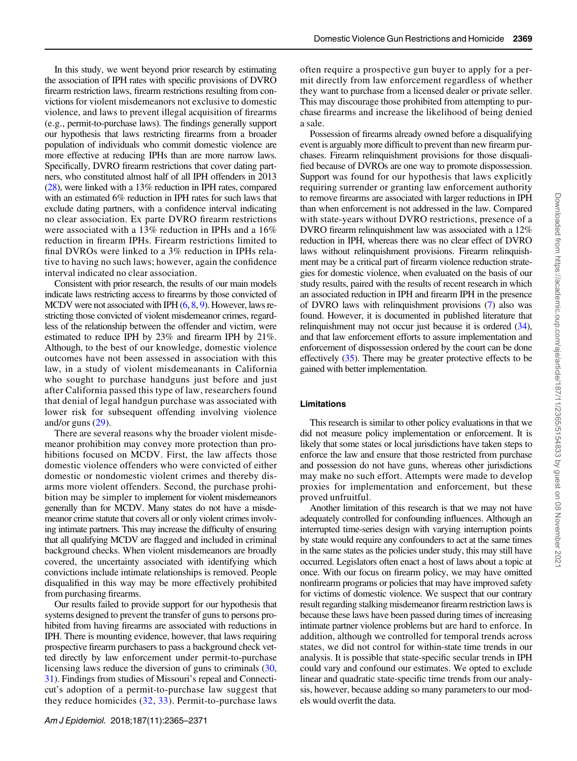In this study, we went beyond prior research by estimating the association of IPH rates with specific provisions of DVRO firearm restriction laws, firearm restrictions resulting from convictions for violent misdemeanors not exclusive to domestic violence, and laws to prevent illegal acquisition of firearms (e.g., permit-to-purchase laws). The findings generally support our hypothesis that laws restricting firearms from a broader population of individuals who commit domestic violence are more effective at reducing IPHs than are more narrow laws. Specifically, DVRO firearm restrictions that cover dating partners, who constituted almost half of all IPH offenders in 2013 [\(28\)](#page-6-0), were linked with a 13% reduction in IPH rates, compared with an estimated 6% reduction in IPH rates for such laws that exclude dating partners, with a confidence interval indicating no clear association. Ex parte DVRO firearm restrictions were associated with a 13% reduction in IPHs and a 16% reduction in firearm IPHs. Firearm restrictions limited to final DVROs were linked to a 3% reduction in IPHs relative to having no such laws; however, again the confidence interval indicated no clear association.

Consistent with prior research, the results of our main models indicate laws restricting access to firearms by those convicted of MCDV were not associated with IPH  $(6, 8, 9)$  $(6, 8, 9)$  $(6, 8, 9)$  $(6, 8, 9)$  $(6, 8, 9)$  $(6, 8, 9)$ . However, laws restricting those convicted of violent misdemeanor crimes, regardless of the relationship between the offender and victim, were estimated to reduce IPH by 23% and firearm IPH by 21%. Although, to the best of our knowledge, domestic violence outcomes have not been assessed in association with this law, in a study of violent misdemeanants in California who sought to purchase handguns just before and just after California passed this type of law, researchers found that denial of legal handgun purchase was associated with lower risk for subsequent offending involving violence and/or guns ([29\)](#page-6-0).

There are several reasons why the broader violent misdemeanor prohibition may convey more protection than prohibitions focused on MCDV. First, the law affects those domestic violence offenders who were convicted of either domestic or nondomestic violent crimes and thereby disarms more violent offenders. Second, the purchase prohibition may be simpler to implement for violent misdemeanors generally than for MCDV. Many states do not have a misdemeanor crime statute that covers all or only violent crimes involving intimate partners. This may increase the difficulty of ensuring that all qualifying MCDV are flagged and included in criminal background checks. When violent misdemeanors are broadly covered, the uncertainty associated with identifying which convictions include intimate relationships is removed. People disqualified in this way may be more effectively prohibited from purchasing firearms.

Our results failed to provide support for our hypothesis that systems designed to prevent the transfer of guns to persons prohibited from having firearms are associated with reductions in IPH. There is mounting evidence, however, that laws requiring prospective firearm purchasers to pass a background check vetted directly by law enforcement under permit-to-purchase licensing laws reduce the diversion of guns to criminals ([30,](#page-6-0) [31\)](#page-6-0). Findings from studies of Missouri's repeal and Connecticut's adoption of a permit-to-purchase law suggest that they reduce homicides ([32,](#page-6-0) [33\)](#page-6-0). Permit-to-purchase laws

often require a prospective gun buyer to apply for a permit directly from law enforcement regardless of whether they want to purchase from a licensed dealer or private seller. This may discourage those prohibited from attempting to purchase firearms and increase the likelihood of being denied a sale.

Possession of firearms already owned before a disqualifying event is arguably more difficult to prevent than new firearm purchases. Firearm relinquishment provisions for those disqualified because of DVROs are one way to promote dispossession. Support was found for our hypothesis that laws explicitly requiring surrender or granting law enforcement authority to remove firearms are associated with larger reductions in IPH than when enforcement is not addressed in the law. Compared with state-years without DVRO restrictions, presence of a DVRO firearm relinquishment law was associated with a 12% reduction in IPH, whereas there was no clear effect of DVRO laws without relinquishment provisions. Firearm relinquishment may be a critical part of firearm violence reduction strategies for domestic violence, when evaluated on the basis of our study results, paired with the results of recent research in which an associated reduction in IPH and firearm IPH in the presence of DVRO laws with relinquishment provisions [\(7\)](#page-5-0) also was found. However, it is documented in published literature that relinquishment may not occur just because it is ordered ([34](#page-6-0)), and that law enforcement efforts to assure implementation and enforcement of dispossession ordered by the court can be done effectively  $(35)$ . There may be greater protective effects to be gained with better implementation.

### Limitations

This research is similar to other policy evaluations in that we did not measure policy implementation or enforcement. It is likely that some states or local jurisdictions have taken steps to enforce the law and ensure that those restricted from purchase and possession do not have guns, whereas other jurisdictions may make no such effort. Attempts were made to develop proxies for implementation and enforcement, but these proved unfruitful.

Another limitation of this research is that we may not have adequately controlled for confounding influences. Although an interrupted time-series design with varying interruption points by state would require any confounders to act at the same times in the same states as the policies under study, this may still have occurred. Legislators often enact a host of laws about a topic at once. With our focus on firearm policy, we may have omitted nonfirearm programs or policies that may have improved safety for victims of domestic violence. We suspect that our contrary result regarding stalking misdemeanor firearm restriction laws is because these laws have been passed during times of increasing intimate partner violence problems but are hard to enforce. In addition, although we controlled for temporal trends across states, we did not control for within-state time trends in our analysis. It is possible that state-specific secular trends in IPH could vary and confound our estimates. We opted to exclude linear and quadratic state-specific time trends from our analysis, however, because adding so many parameters to our models would overfit the data.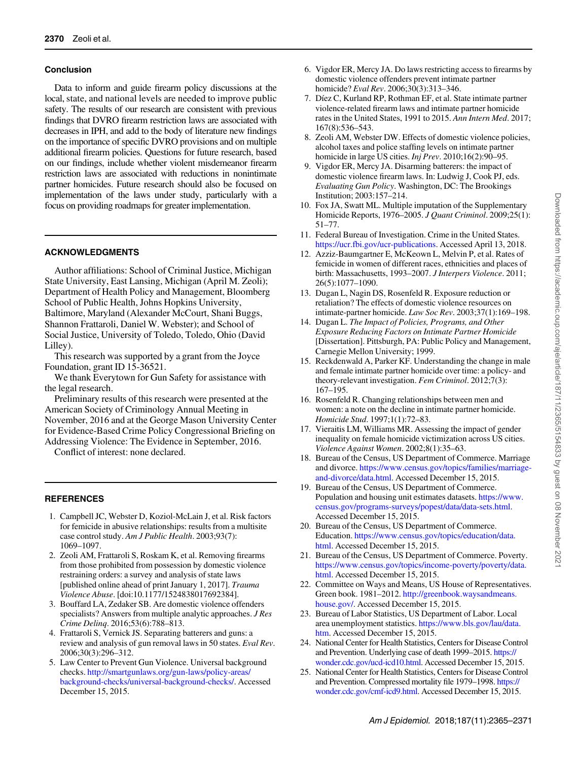## <span id="page-5-0"></span>Conclusion

Data to inform and guide firearm policy discussions at the local, state, and national levels are needed to improve public safety. The results of our research are consistent with previous findings that DVRO firearm restriction laws are associated with decreases in IPH, and add to the body of literature new findings on the importance of specific DVRO provisions and on multiple additional firearm policies. Questions for future research, based on our findings, include whether violent misdemeanor firearm restriction laws are associated with reductions in nonintimate partner homicides. Future research should also be focused on implementation of the laws under study, particularly with a focus on providing roadmaps for greater implementation.

## ACKNOWLEDGMENTS

Author affiliations: School of Criminal Justice, Michigan State University, East Lansing, Michigan (April M. Zeoli); Department of Health Policy and Management, Bloomberg School of Public Health, Johns Hopkins University, Baltimore, Maryland (Alexander McCourt, Shani Buggs, Shannon Frattaroli, Daniel W. Webster); and School of Social Justice, University of Toledo, Toledo, Ohio (David Lilley).

This research was supported by a grant from the Joyce Foundation, grant ID 15-36521.

We thank Everytown for Gun Safety for assistance with the legal research.

Preliminary results of this research were presented at the American Society of Criminology Annual Meeting in November, 2016 and at the George Mason University Center for Evidence-Based Crime Policy Congressional Briefing on Addressing Violence: The Evidence in September, 2016.

Conflict of interest: none declared.

## **REFERENCES**

- 1. Campbell JC, Webster D, Koziol-McLain J, et al. Risk factors for femicide in abusive relationships: results from a multisite case control study. Am J Public Health. 2003;93(7): 1069–1097.
- 2. Zeoli AM, Frattaroli S, Roskam K, et al. Removing firearms from those prohibited from possession by domestic violence restraining orders: a survey and analysis of state laws [published online ahead of print January 1, 2017]. Trauma Violence Abuse. [doi[:10.1177/1524838017692384\]](http://dx.doi.org/10.1177/1524838017692384).
- 3. Bouffard LA, Zedaker SB. Are domestic violence offenders specialists? Answers from multiple analytic approaches. J Res Crime Delinq. 2016;53(6):788–813.
- 4. Frattaroli S, Vernick JS. Separating batterers and guns: a review and analysis of gun removal laws in 50 states. Eval Rev. 2006;30(3):296–312.
- 5. Law Center to Prevent Gun Violence. Universal background checks. [http://smartgunlaws.org/gun-laws/policy-areas/](http://smartgunlaws.org/gun-laws/policy-areas/background-checks/universal-background-checks/) [background-checks/universal-background-checks/.](http://smartgunlaws.org/gun-laws/policy-areas/background-checks/universal-background-checks/) Accessed December 15, 2015.
- 6. Vigdor ER, Mercy JA. Do laws restricting access to firearms by domestic violence offenders prevent intimate partner homicide? Eval Rev. 2006;30(3):313–346.
- 7. Díez C, Kurland RP, Rothman EF, et al. State intimate partner violence-related firearm laws and intimate partner homicide rates in the United States, 1991 to 2015. Ann Intern Med. 2017; 167(8):536–543.
- 8. Zeoli AM, Webster DW. Effects of domestic violence policies, alcohol taxes and police staffing levels on intimate partner homicide in large US cities. *Inj Prev.* 2010;16(2):90–95.
- 9. Vigdor ER, Mercy JA. Disarming batterers: the impact of domestic violence firearm laws. In: Ludwig J, Cook PJ, eds. Evaluating Gun Policy. Washington, DC: The Brookings Institution; 2003:157–214.
- 10. Fox JA, Swatt ML. Multiple imputation of the Supplementary Homicide Reports, 1976-2005. J Quant Criminol. 2009;25(1): 51–77.
- 11. Federal Bureau of Investigation. Crime in the United States. [https://ucr.fbi.gov/ucr-publications.](https://ucr.fbi.gov/ucr-publications) Accessed April 13, 2018.
- 12. Azziz-Baumgartner E, McKeown L, Melvin P, et al. Rates of femicide in women of different races, ethnicities and places of birth: Massachusetts, 1993–2007. J Interpers Violence. 2011; 26(5):1077–1090.
- 13. Dugan L, Nagin DS, Rosenfeld R. Exposure reduction or retaliation? The effects of domestic violence resources on intimate-partner homicide. Law Soc Rev. 2003;37(1):169–198.
- 14. Dugan L. The Impact of Policies, Programs, and Other Exposure Reducing Factors on Intimate Partner Homicide [Dissertation]. Pittsburgh, PA: Public Policy and Management, Carnegie Mellon University; 1999.
- 15. Reckdenwald A, Parker KF. Understanding the change in male and female intimate partner homicide over time: a policy- and theory-relevant investigation. Fem Criminol. 2012;7(3): 167–195.
- 16. Rosenfeld R. Changing relationships between men and women: a note on the decline in intimate partner homicide. Homicide Stud. 1997;1(1):72–83.
- 17. Vieraitis LM, Williams MR. Assessing the impact of gender inequality on female homicide victimization across US cities. Violence Against Women. 2002;8(1):35–63.
- 18. Bureau of the Census, US Department of Commerce. Marriage and divorce. [https://www.census.gov/topics/families/marriage](https://www.census.gov/topics/families/marriage-and-divorce/data.html)[and-divorce/data.html](https://www.census.gov/topics/families/marriage-and-divorce/data.html). Accessed December 15, 2015.
- 19. Bureau of the Census, US Department of Commerce. Population and housing unit estimates datasets. [https://www.](https://www.census.gov/programs-surveys/popest/data/data-sets.html) [census.gov/programs-surveys/popest/data/data-sets.html](https://www.census.gov/programs-surveys/popest/data/data-sets.html). Accessed December 15, 2015.
- 20. Bureau of the Census, US Department of Commerce. Education. [https://www.census.gov/topics/education/data.](https://www.census.gov/topics/education/data.html) [html](https://www.census.gov/topics/education/data.html). Accessed December 15, 2015.
- 21. Bureau of the Census, US Department of Commerce. Poverty. [https://www.census.gov/topics/income-poverty/poverty/data.](https://www.census.gov/topics/income-poverty/poverty/data.html) [html](https://www.census.gov/topics/income-poverty/poverty/data.html). Accessed December 15, 2015.
- 22. Committee on Ways and Means, US House of Representatives. Green book. 1981–2012. [http://greenbook.waysandmeans.](http://greenbook.waysandmeans.house.gov/) [house.gov/.](http://greenbook.waysandmeans.house.gov/) Accessed December 15, 2015.
- 23. Bureau of Labor Statistics, US Department of Labor. Local area unemployment statistics. [https://www.bls.gov/lau/data.](https://www.bls.gov/lau/data.htm) [htm.](https://www.bls.gov/lau/data.htm) Accessed December 15, 2015.
- 24. National Center for Health Statistics, Centers for Disease Control and Prevention. Underlying case of death 1999–2015. [https://](https://wonder.cdc.gov/ucd-icd10.html) [wonder.cdc.gov/ucd-icd10.html](https://wonder.cdc.gov/ucd-icd10.html). Accessed December 15, 2015.
- 25. National Center for Health Statistics, Centers for Disease Control and Prevention. Compressed mortality file 1979–1998. [https://](https://wonder.cdc.gov/cmf-icd9.html) [wonder.cdc.gov/cmf-icd9.html.](https://wonder.cdc.gov/cmf-icd9.html) Accessed December 15, 2015.